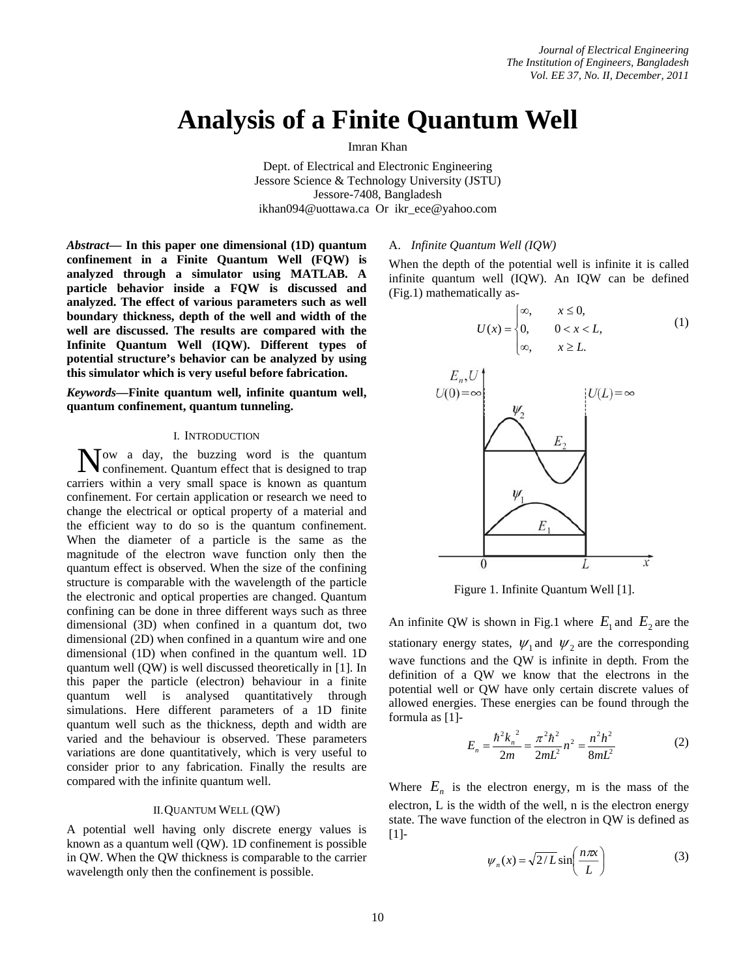# **Analysis of a Finite Quantum Well**

Imran Khan

Dept. of Electrical and Electronic Engineering Jessore Science & Technology University (JSTU) Jessore-7408, Bangladesh ikhan094@uottawa.ca Or ikr\_ece@yahoo.com

*Abstract***— In this paper one dimensional (1D) quantum confinement in a Finite Quantum Well (FQW) is analyzed through a simulator using MATLAB. A particle behavior inside a FQW is discussed and analyzed. The effect of various parameters such as well boundary thickness, depth of the well and width of the well are discussed. The results are compared with the Infinite Quantum Well (IQW). Different types of potential structure's behavior can be analyzed by using this simulator which is very useful before fabrication.** 

*Keywords***—Finite quantum well, infinite quantum well, quantum confinement, quantum tunneling.** 

#### I. INTRODUCTION

ow a day, the buzzing word is the quantum Now a day, the buzzing word is the quantum confinement. Quantum effect that is designed to trap carriers within a very small space is known as quantum confinement. For certain application or research we need to change the electrical or optical property of a material and the efficient way to do so is the quantum confinement. When the diameter of a particle is the same as the magnitude of the electron wave function only then the quantum effect is observed. When the size of the confining structure is comparable with the wavelength of the particle the electronic and optical properties are changed. Quantum confining can be done in three different ways such as three dimensional (3D) when confined in a quantum dot, two dimensional (2D) when confined in a quantum wire and one dimensional (1D) when confined in the quantum well. 1D quantum well (QW) is well discussed theoretically in [1]. In this paper the particle (electron) behaviour in a finite quantum well is analysed quantitatively through simulations. Here different parameters of a 1D finite quantum well such as the thickness, depth and width are varied and the behaviour is observed. These parameters variations are done quantitatively, which is very useful to consider prior to any fabrication. Finally the results are compared with the infinite quantum well.

# II.QUANTUM WELL (QW)

A potential well having only discrete energy values is known as a quantum well (QW). 1D confinement is possible in QW. When the QW thickness is comparable to the carrier wavelength only then the confinement is possible.

### A. *Infinite Quantum Well (IQW)*

When the depth of the potential well is infinite it is called infinite quantum well (IQW). An IQW can be defined (Fig.1) mathematically as-

$$
U(x) = \begin{cases} \infty, & x \le 0, \\ 0, & 0 < x < L, \\ \infty, & x \ge L. \end{cases}
$$
 (1)



Figure 1. Infinite Quantum Well [1].

An infinite QW is shown in Fig.1 where  $E_1$  and  $E_2$  are the stationary energy states,  $\psi_1$  and  $\psi_2$  are the corresponding wave functions and the QW is infinite in depth. From the definition of a QW we know that the electrons in the potential well or QW have only certain discrete values of allowed energies. These energies can be found through the formula as [1]-

$$
E_n = \frac{\hbar^2 k_n^2}{2m} = \frac{\pi^2 \hbar^2}{2mL^2} n^2 = \frac{n^2 h^2}{8mL^2}
$$
 (2)

Where  $E_n$  is the electron energy, m is the mass of the electron, L is the width of the well, n is the electron energy state. The wave function of the electron in QW is defined as [1]-

$$
\psi_n(x) = \sqrt{2/L} \sin\left(\frac{n\pi x}{L}\right) \tag{3}
$$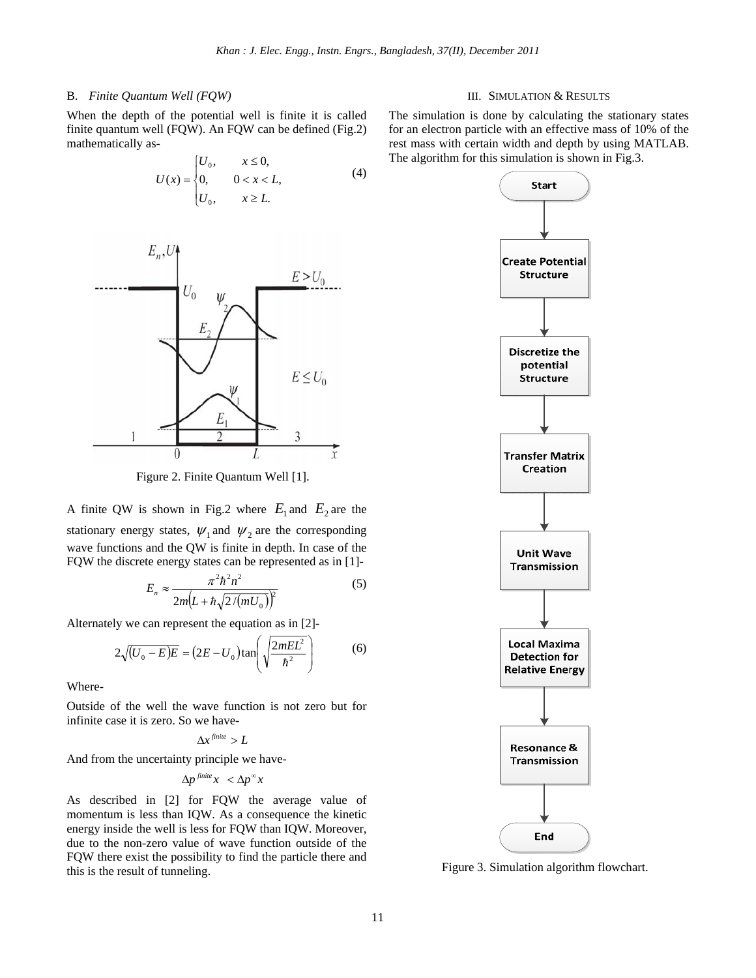# B. *Finite Quantum Well (FQW)*

When the depth of the potential well is finite it is called finite quantum well (FQW). An FQW can be defined (Fig.2) mathematically as-

$$
U(x) = \begin{cases} U_0, & x \le 0, \\ 0, & 0 < x < L, \\ U_0, & x \ge L. \end{cases}
$$
 (4)



Figure 2. Finite Quantum Well [1].

A finite QW is shown in Fig.2 where  $E_1$  and  $E_2$  are the stationary energy states,  $\psi_1$  and  $\psi_2$  are the corresponding wave functions and the QW is finite in depth. In case of the FQW the discrete energy states can be represented as in [1]-

$$
E_n \approx \frac{\pi^2 \hbar^2 n^2}{2m \left( L + \hbar \sqrt{2/(mU_0)} \right)^2}
$$
 (5)

Alternately we can represent the equation as in [2]-

$$
2\sqrt{(U_0 - E)E} = (2E - U_0)\tan\left(\sqrt{\frac{2mEL^2}{\hbar^2}}\right)
$$
 (6)

Where-

Outside of the well the wave function is not zero but for infinite case it is zero. So we have-

$$
\Delta x^{\text{finite}} > L
$$

And from the uncertainty principle we have-

$$
\Delta p^{\text{finite}} x < \Delta p^\infty x
$$

As described in [2] for FQW the average value of momentum is less than IQW. As a consequence the kinetic energy inside the well is less for FQW than IQW. Moreover, due to the non-zero value of wave function outside of the FQW there exist the possibility to find the particle there and this is the result of tunneling.

### III. SIMULATION & RESULTS

The simulation is done by calculating the stationary states for an electron particle with an effective mass of 10% of the rest mass with certain width and depth by using MATLAB. The algorithm for this simulation is shown in Fig.3.



Figure 3. Simulation algorithm flowchart.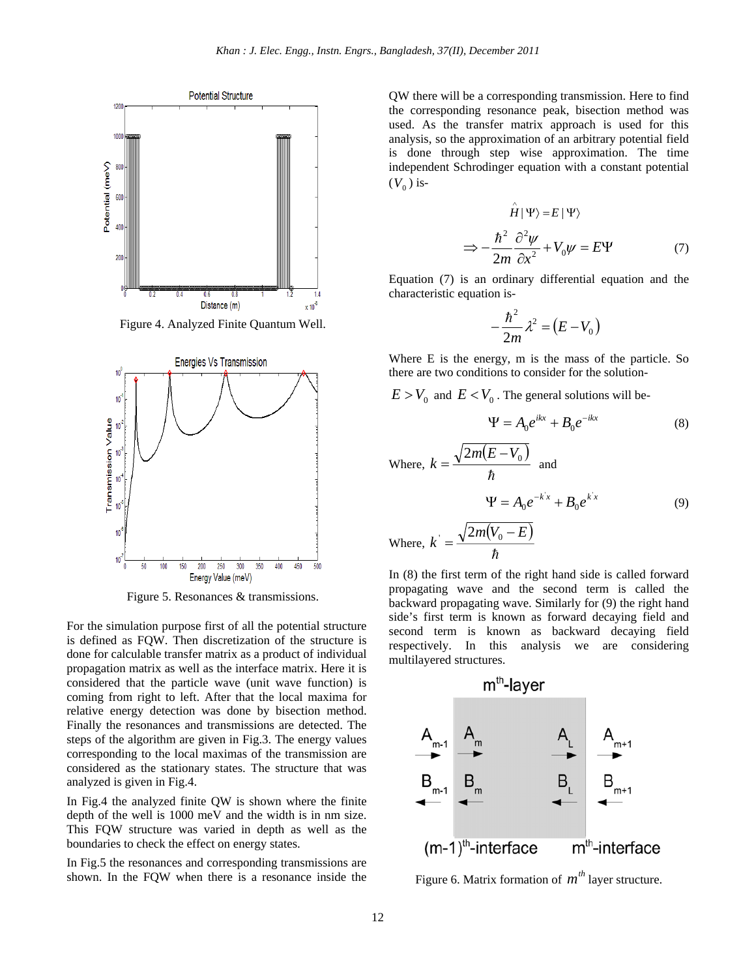

Figure 4. Analyzed Finite Quantum Well.



Figure 5. Resonances & transmissions.

For the simulation purpose first of all the potential structure is defined as FQW. Then discretization of the structure is done for calculable transfer matrix as a product of individual propagation matrix as well as the interface matrix. Here it is considered that the particle wave (unit wave function) is coming from right to left. After that the local maxima for relative energy detection was done by bisection method. Finally the resonances and transmissions are detected. The steps of the algorithm are given in Fig.3. The energy values corresponding to the local maximas of the transmission are considered as the stationary states. The structure that was analyzed is given in Fig.4.

In Fig.4 the analyzed finite QW is shown where the finite depth of the well is 1000 meV and the width is in nm size. This FQW structure was varied in depth as well as the boundaries to check the effect on energy states.

In Fig.5 the resonances and corresponding transmissions are shown. In the FQW when there is a resonance inside the QW there will be a corresponding transmission. Here to find the corresponding resonance peak, bisection method was used. As the transfer matrix approach is used for this analysis, so the approximation of an arbitrary potential field is done through step wise approximation. The time independent Schrodinger equation with a constant potential  $(V_0)$  is-

$$
\hat{H}|\Psi\rangle = E|\Psi\rangle
$$
  
\n
$$
\Rightarrow -\frac{\hbar^2}{2m}\frac{\partial^2 \psi}{\partial x^2} + V_0 \psi = E\Psi
$$
 (7)

Equation (7) is an ordinary differential equation and the characteristic equation is-

$$
-\frac{\hbar^2}{2m}\lambda^2 = (E - V_0)
$$

Where E is the energy, m is the mass of the particle. So there are two conditions to consider for the solution-

 $E > V_0$  and  $E < V_0$ . The general solutions will be-

$$
\Psi = A_0 e^{ikx} + B_0 e^{-ikx} \tag{8}
$$

Where, 
$$
k = \frac{\sqrt{2m(E - V_0)}}{\hbar}
$$
 and  
\n
$$
\Psi = A_0 e^{-kx} + B_0 e^{kx}
$$
\n(9)  
\nWhere,  $k = \frac{\sqrt{2m(V_0 - E)}}{\hbar}$ 

In (8) the first term of the right hand side is called forward propagating wave and the second term is called the backward propagating wave. Similarly for (9) the right hand side's first term is known as forward decaying field and second term is known as backward decaying field respectively. In this analysis we are considering multilayered structures.



Figure 6. Matrix formation of  $m<sup>th</sup>$  layer structure.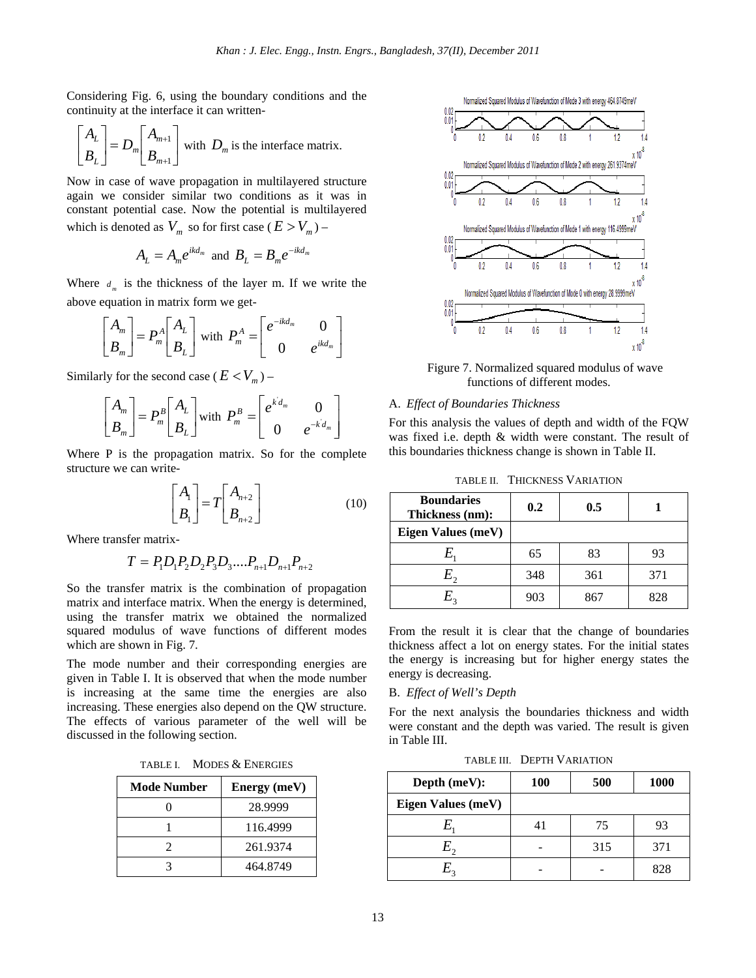Considering Fig. 6, using the boundary conditions and the continuity at the interface it can written-

$$
\begin{bmatrix} A_L \\ B_L \end{bmatrix} = D_m \begin{bmatrix} A_{m+1} \\ B_{m+1} \end{bmatrix}
$$
 with  $D_m$  is the interface matrix.

Now in case of wave propagation in multilayered structure again we consider similar two conditions as it was in constant potential case. Now the potential is multilayered which is denoted as  $V_m$  so for first case ( $E > V_m$ ) –

$$
A_L = A_m e^{ikd_m} \text{ and } B_L = B_m e^{-ikd_m}
$$

Where  $d_m$  is the thickness of the layer m. If we write the above equation in matrix form we get-

$$
\begin{bmatrix} A_m \\ B_m \end{bmatrix} = P_m^A \begin{bmatrix} A_L \\ B_L \end{bmatrix}
$$
 with  $P_m^A = \begin{bmatrix} e^{-ikd_m} & 0 \\ 0 & e^{ikd_m} \end{bmatrix}$ 

Similarly for the second case ( $E < V_m$ ) –

$$
\begin{bmatrix} A_m \\ B_m \end{bmatrix} = P_m^B \begin{bmatrix} A_L \\ B_L \end{bmatrix}
$$
 with  $P_m^B = \begin{bmatrix} e^{k d_m} & 0 \\ 0 & e^{-k d_m} \end{bmatrix}$ 

Where P is the propagation matrix. So for the complete structure we can write-

$$
\begin{bmatrix} A_1 \\ B_1 \end{bmatrix} = T \begin{bmatrix} A_{n+2} \\ B_{n+2} \end{bmatrix}
$$
 (10)

Where transfer matrix-

$$
T = P_1 D_1 P_2 D_2 P_3 D_3 \dots P_{n+1} D_{n+1} P_{n+2}
$$

So the transfer matrix is the combination of propagation matrix and interface matrix. When the energy is determined, using the transfer matrix we obtained the normalized squared modulus of wave functions of different modes which are shown in Fig. 7.

The mode number and their corresponding energies are given in Table I. It is observed that when the mode number is increasing at the same time the energies are also increasing. These energies also depend on the QW structure. The effects of various parameter of the well will be discussed in the following section.

| TABLE I. | <b>MODES &amp; ENERGIES</b> |
|----------|-----------------------------|
|----------|-----------------------------|

| <b>Mode Number</b> | Energy (meV) |
|--------------------|--------------|
|                    | 28.9999      |
|                    | 116.4999     |
|                    | 261.9374     |
|                    | 464.8749     |



Figure 7. Normalized squared modulus of wave functions of different modes.

#### A. *Effect of Boundaries Thickness*

For this analysis the values of depth and width of the FQW was fixed i.e. depth & width were constant. The result of this boundaries thickness change is shown in Table II.

| <b>TABLE II. THICKNESS VARIATION</b> |  |  |
|--------------------------------------|--|--|
|--------------------------------------|--|--|

| <b>Boundaries</b><br>Thickness (nm): | 0.2 | 0.5 |     |
|--------------------------------------|-----|-----|-----|
| Eigen Values (meV)                   |     |     |     |
| $E_{\scriptscriptstyle 1}$           | 65  | 83  | 93  |
| $E_{\gamma}$                         | 348 | 361 | 371 |
| $E_{\rm{2}}$                         | 903 | 867 | 828 |

From the result it is clear that the change of boundaries thickness affect a lot on energy states. For the initial states the energy is increasing but for higher energy states the energy is decreasing.

## B. *Effect of Well's Depth*

For the next analysis the boundaries thickness and width were constant and the depth was varied. The result is given in Table III.

TABLE III. DEPTH VARIATION

| Depth (meV):       | 100 | 500 | <b>1000</b> |
|--------------------|-----|-----|-------------|
| Eigen Values (meV) |     |     |             |
|                    |     | 75  | 93          |
| E,                 |     | 315 | 371         |
| $E_{2}$            |     |     | 828         |